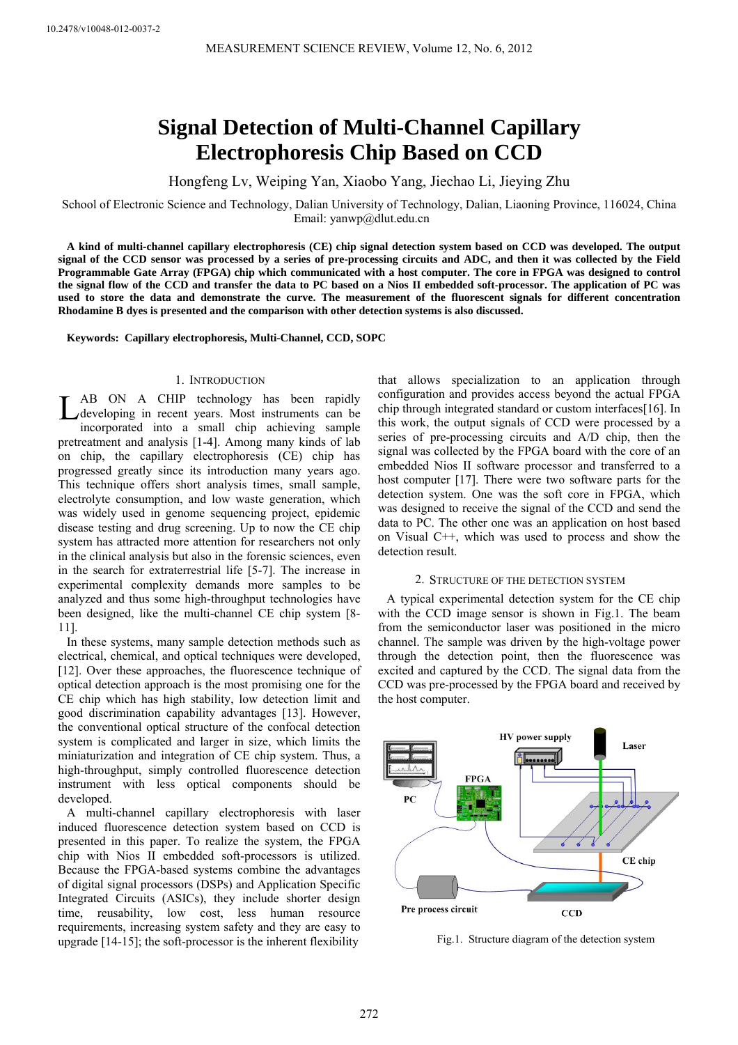# **Signal Detection of Multi-Channel Capillary Electrophoresis Chip Based on CCD**

Hongfeng Lv, Weiping Yan, Xiaobo Yang, Jiechao Li, Jieying Zhu

School of Electronic Science and Technology, Dalian University of Technology, Dalian, Liaoning Province, 116024, China Email: yanwp@dlut.edu.cn

**A kind of multi-channel capillary electrophoresis (CE) chip signal detection system based on CCD was developed. The output signal of the CCD sensor was processed by a series of pre-processing circuits and ADC, and then it was collected by the Field Programmable Gate Array (FPGA) chip which communicated with a host computer. The core in FPGA was designed to control the signal flow of the CCD and transfer the data to PC based on a Nios II embedded soft-processor. The application of PC was used to store the data and demonstrate the curve. The measurement of the fluorescent signals for different concentration Rhodamine B dyes is presented and the comparison with other detection systems is also discussed.** 

**Keywords: Capillary electrophoresis, Multi-Channel, CCD, SOPC** 

## 1. INTRODUCTION

AB ON A CHIP technology has been rapidly LAB ON A CHIP technology has been rapidly<br>developing in recent years. Most instruments can be incorporated into a small chip achieving sample pretreatment and analysis [1-4]. Among many kinds of lab on chip, the capillary electrophoresis (CE) chip has progressed greatly since its introduction many years ago. This technique offers short analysis times, small sample, electrolyte consumption, and low waste generation, which was widely used in genome sequencing project, epidemic disease testing and drug screening. Up to now the CE chip system has attracted more attention for researchers not only in the clinical analysis but also in the forensic sciences, even in the search for extraterrestrial life [5-7]. The increase in experimental complexity demands more samples to be analyzed and thus some high-throughput technologies have been designed, like the multi-channel CE chip system [8- 11].

In these systems, many sample detection methods such as electrical, chemical, and optical techniques were developed, [12]. Over these approaches, the fluorescence technique of optical detection approach is the most promising one for the CE chip which has high stability, low detection limit and good discrimination capability advantages [13]. However, the conventional optical structure of the confocal detection system is complicated and larger in size, which limits the miniaturization and integration of CE chip system. Thus, a high-throughput, simply controlled fluorescence detection instrument with less optical components should be developed.

A multi-channel capillary electrophoresis with laser induced fluorescence detection system based on CCD is presented in this paper. To realize the system, the FPGA chip with Nios II embedded soft-processors is utilized. Because the FPGA-based systems combine the advantages of digital signal processors (DSPs) and Application Specific Integrated Circuits (ASICs), they include shorter design time, reusability, low cost, less human resource requirements, increasing system safety and they are easy to upgrade [14-15]; the soft-processor is the inherent flexibility

that allows specialization to an application through configuration and provides access beyond the actual FPGA chip through integrated standard or custom interfaces[16]. In this work, the output signals of CCD were processed by a series of pre-processing circuits and A/D chip, then the signal was collected by the FPGA board with the core of an embedded Nios II software processor and transferred to a host computer [17]. There were two software parts for the detection system. One was the soft core in FPGA, which was designed to receive the signal of the CCD and send the data to PC. The other one was an application on host based on Visual C++, which was used to process and show the detection result.

## 2. STRUCTURE OF THE DETECTION SYSTEM

A typical experimental detection system for the CE chip with the CCD image sensor is shown in Fig.1. The beam from the semiconductor laser was positioned in the micro channel. The sample was driven by the high-voltage power through the detection point, then the fluorescence was excited and captured by the CCD. The signal data from the CCD was pre-processed by the FPGA board and received by the host computer.



Fig.1. Structure diagram of the detection system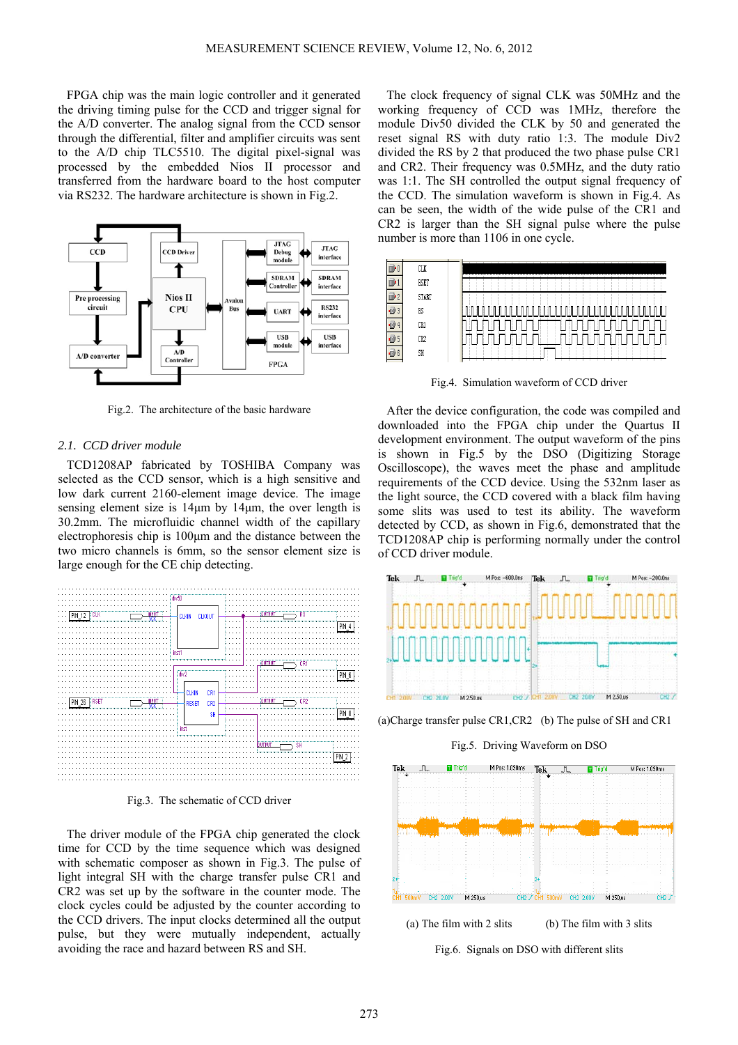FPGA chip was the main logic controller and it generated the driving timing pulse for the CCD and trigger signal for the A/D converter. The analog signal from the CCD sensor through the differential, filter and amplifier circuits was sent to the A/D chip TLC5510. The digital pixel-signal was processed by the embedded Nios II processor and transferred from the hardware board to the host computer via RS232. The hardware architecture is shown in Fig.2.



Fig.2. The architecture of the basic hardware

## *2.1. CCD driver module*

TCD1208AP fabricated by TOSHIBA Company was selected as the CCD sensor, which is a high sensitive and low dark current 2160-element image device. The image sensing element size is 14μm by 14μm, the over length is 30.2mm. The microfluidic channel width of the capillary electrophoresis chip is 100μm and the distance between the two micro channels is 6mm, so the sensor element size is large enough for the CE chip detecting.



Fig.3. The schematic of CCD driver

The driver module of the FPGA chip generated the clock time for CCD by the time sequence which was designed with schematic composer as shown in Fig.3. The pulse of light integral SH with the charge transfer pulse CR1 and CR2 was set up by the software in the counter mode. The clock cycles could be adjusted by the counter according to the CCD drivers. The input clocks determined all the output pulse, but they were mutually independent, actually avoiding the race and hazard between RS and SH.

The clock frequency of signal CLK was 50MHz and the working frequency of CCD was 1MHz, therefore the module Div50 divided the CLK by 50 and generated the reset signal RS with duty ratio 1:3. The module Div2 divided the RS by 2 that produced the two phase pulse CR1 and CR2. Their frequency was 0.5MHz, and the duty ratio was 1:1. The SH controlled the output signal frequency of the CCD. The simulation waveform is shown in Fig.4. As can be seen, the width of the wide pulse of the CR1 and CR2 is larger than the SH signal pulse where the pulse number is more than 1106 in one cycle.



Fig.4. Simulation waveform of CCD driver

After the device configuration, the code was compiled and downloaded into the FPGA chip under the Quartus II development environment. The output waveform of the pins is shown in Fig.5 by the DSO (Digitizing Storage Oscilloscope), the waves meet the phase and amplitude requirements of the CCD device. Using the 532nm laser as the light source, the CCD covered with a black film having some slits was used to test its ability. The waveform detected by CCD, as shown in Fig.6, demonstrated that the TCD1208AP chip is performing normally under the control of CCD driver module.



(a)Charge transfer pulse CR1,CR2 (b) The pulse of SH and CR1



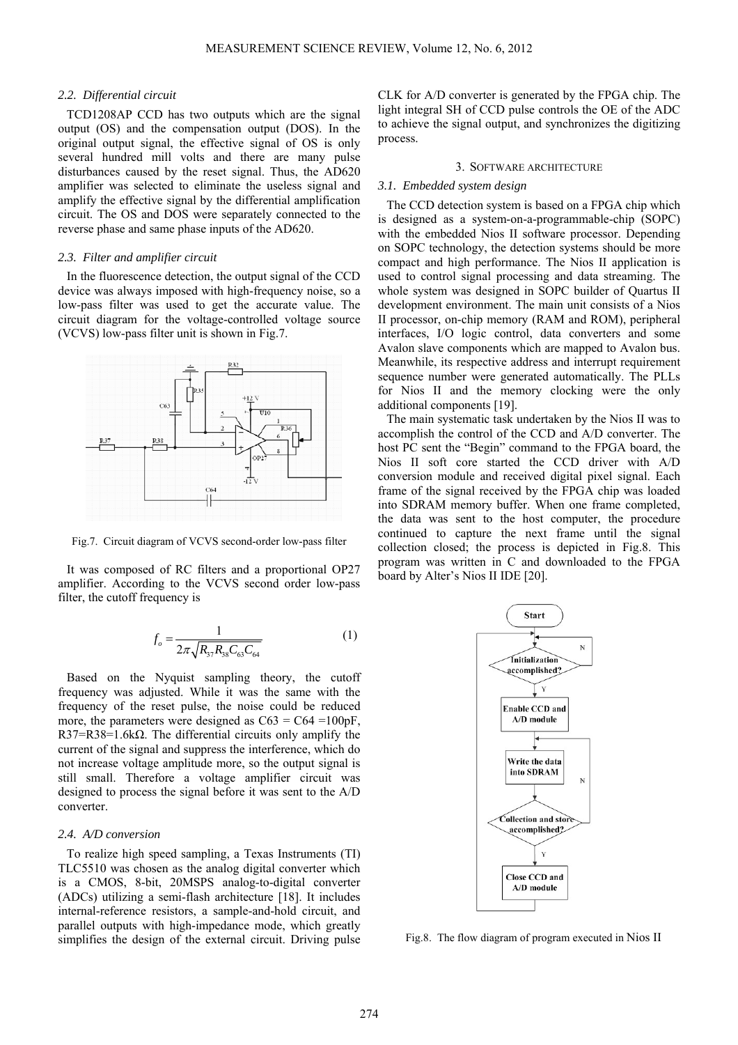## *2.2. Differential circuit*

TCD1208AP CCD has two outputs which are the signal output (OS) and the compensation output (DOS). In the original output signal, the effective signal of OS is only several hundred mill volts and there are many pulse disturbances caused by the reset signal. Thus, the AD620 amplifier was selected to eliminate the useless signal and amplify the effective signal by the differential amplification circuit. The OS and DOS were separately connected to the reverse phase and same phase inputs of the AD620.

## *2.3. Filter and amplifier circuit*

In the fluorescence detection, the output signal of the CCD device was always imposed with high-frequency noise, so a low-pass filter was used to get the accurate value. The circuit diagram for the voltage-controlled voltage source (VCVS) low-pass filter unit is shown in Fig.7.



Fig.7. Circuit diagram of VCVS second-order low-pass filter

It was composed of RC filters and a proportional OP27 amplifier. According to the VCVS second order low-pass filter, the cutoff frequency is

$$
f_o = \frac{1}{2\pi\sqrt{R_{37}R_{38}C_{63}C_{64}}} \tag{1}
$$

Based on the Nyquist sampling theory, the cutoff frequency was adjusted. While it was the same with the frequency of the reset pulse, the noise could be reduced more, the parameters were designed as  $C63 = C64 = 100pF$ , R37=R38=1.6k $\Omega$ . The differential circuits only amplify the current of the signal and suppress the interference, which do not increase voltage amplitude more, so the output signal is still small. Therefore a voltage amplifier circuit was designed to process the signal before it was sent to the A/D converter.

## *2.4. A/D conversion*

To realize high speed sampling, a Texas Instruments (TI) TLC5510 was chosen as the analog digital converter which is a CMOS, 8-bit, 20MSPS analog-to-digital converter (ADCs) utilizing a semi-flash architecture [18]. It includes internal-reference resistors, a sample-and-hold circuit, and parallel outputs with high-impedance mode, which greatly simplifies the design of the external circuit. Driving pulse

CLK for A/D converter is generated by the FPGA chip. The light integral SH of CCD pulse controls the OE of the ADC to achieve the signal output, and synchronizes the digitizing process.

#### 3. SOFTWARE ARCHITECTURE

## *3.1. Embedded system design*

The CCD detection system is based on a FPGA chip which is designed as a system-on-a-programmable-chip (SOPC) with the embedded Nios II software processor. Depending on SOPC technology, the detection systems should be more compact and high performance. The Nios II application is used to control signal processing and data streaming. The whole system was designed in SOPC builder of Quartus II development environment. The main unit consists of a Nios II processor, on-chip memory (RAM and ROM), peripheral interfaces, I/O logic control, data converters and some Avalon slave components which are mapped to Avalon bus. Meanwhile, its respective address and interrupt requirement sequence number were generated automatically. The PLLs for Nios II and the memory clocking were the only additional components [19].

The main systematic task undertaken by the Nios II was to accomplish the control of the CCD and A/D converter. The host PC sent the "Begin" command to the FPGA board, the Nios II soft core started the CCD driver with A/D conversion module and received digital pixel signal. Each frame of the signal received by the FPGA chip was loaded into SDRAM memory buffer. When one frame completed, the data was sent to the host computer, the procedure continued to capture the next frame until the signal collection closed; the process is depicted in Fig.8. This program was written in C and downloaded to the FPGA board by Alter's Nios II IDE [20].



Fig.8. The flow diagram of program executed in Nios II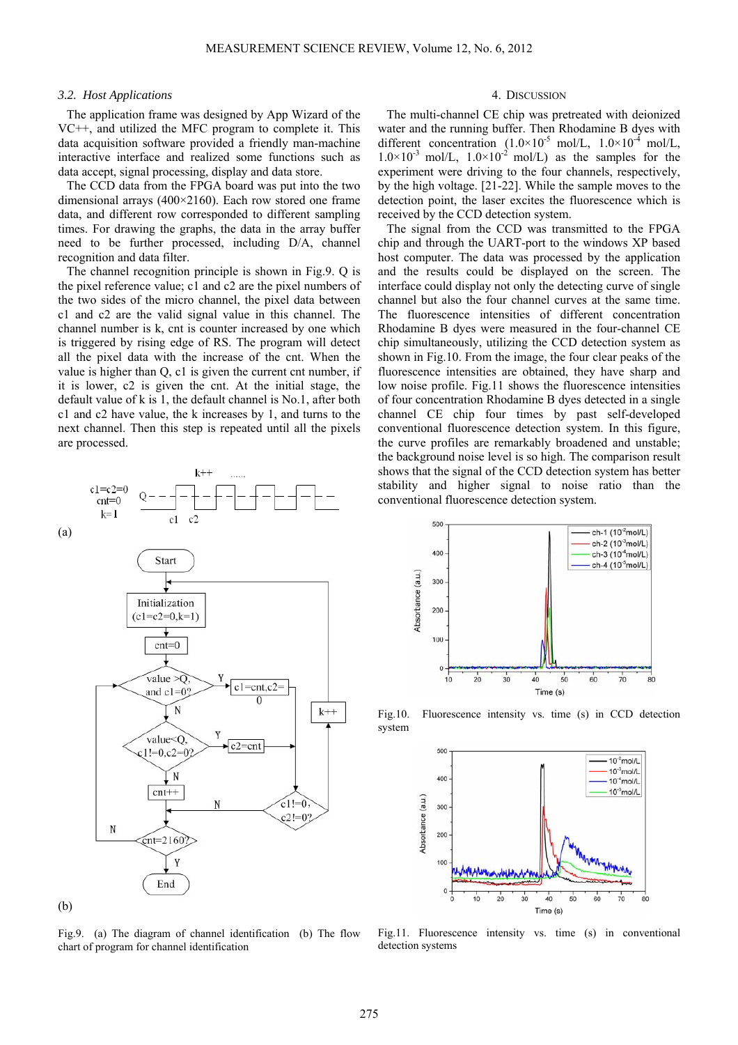## *3.2. Host Applications*

The application frame was designed by App Wizard of the VC++, and utilized the MFC program to complete it. This data acquisition software provided a friendly man-machine interactive interface and realized some functions such as data accept, signal processing, display and data store.

The CCD data from the FPGA board was put into the two dimensional arrays (400×2160). Each row stored one frame data, and different row corresponded to different sampling times. For drawing the graphs, the data in the array buffer need to be further processed, including D/A, channel recognition and data filter.

The channel recognition principle is shown in Fig.9. Q is the pixel reference value; c1 and c2 are the pixel numbers of the two sides of the micro channel, the pixel data between c1 and c2 are the valid signal value in this channel. The channel number is k, cnt is counter increased by one which is triggered by rising edge of RS. The program will detect all the pixel data with the increase of the cnt. When the value is higher than Q, c1 is given the current cnt number, if it is lower, c2 is given the cnt. At the initial stage, the default value of k is 1, the default channel is No.1, after both c1 and c2 have value, the k increases by 1, and turns to the next channel. Then this step is repeated until all the pixels are processed.



Fig.9. (a) The diagram of channel identification (b) The flow chart of program for channel identification

## 4. DISCUSSION

The multi-channel CE chip was pretreated with deionized water and the running buffer. Then Rhodamine B dyes with different concentration  $(1.0 \times 10^{-5} \text{ mol/L}, 1.0 \times 10^{-4} \text{ mol/L},$  $1.0\times10^{-3}$  mol/L,  $1.0\times10^{-2}$  mol/L) as the samples for the experiment were driving to the four channels, respectively, by the high voltage. [21-22]. While the sample moves to the detection point, the laser excites the fluorescence which is received by the CCD detection system.

The signal from the CCD was transmitted to the FPGA chip and through the UART-port to the windows XP based host computer. The data was processed by the application and the results could be displayed on the screen. The interface could display not only the detecting curve of single channel but also the four channel curves at the same time. The fluorescence intensities of different concentration Rhodamine B dyes were measured in the four-channel CE chip simultaneously, utilizing the CCD detection system as shown in Fig.10. From the image, the four clear peaks of the fluorescence intensities are obtained, they have sharp and low noise profile. Fig.11 shows the fluorescence intensities of four concentration Rhodamine B dyes detected in a single channel CE chip four times by past self-developed conventional fluorescence detection system. In this figure, the curve profiles are remarkably broadened and unstable; the background noise level is so high. The comparison result shows that the signal of the CCD detection system has better stability and higher signal to noise ratio than the conventional fluorescence detection system.



Fig.10. Fluorescence intensity vs. time (s) in CCD detection system



Fig.11. Fluorescence intensity vs. time (s) in conventional detection systems